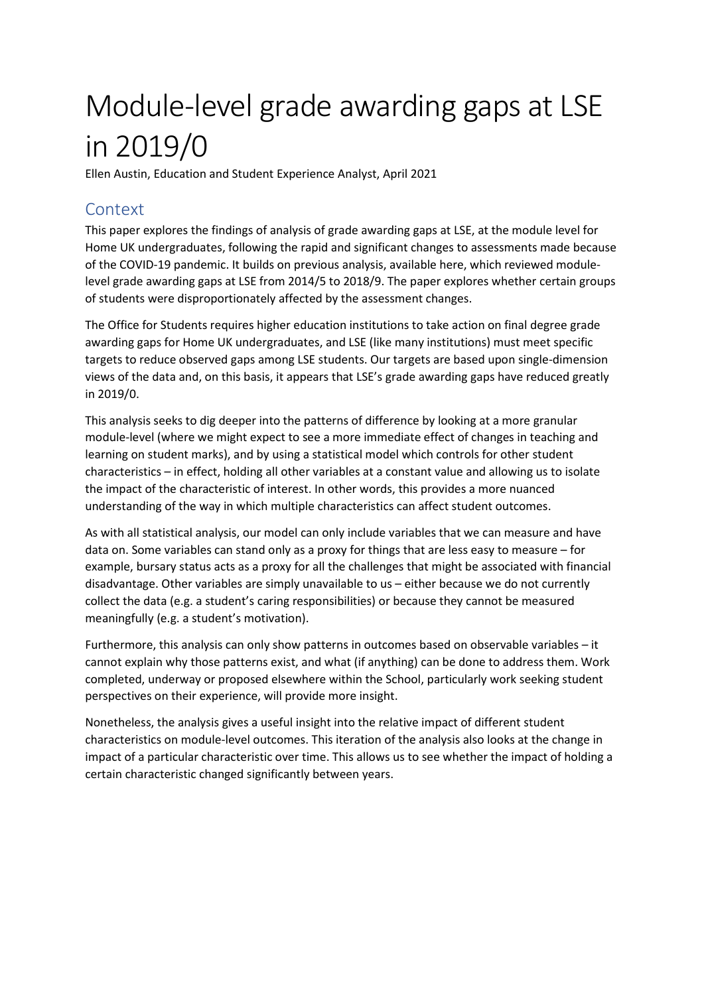# Module-level grade awarding gaps at LSE in 2019/0

Ellen Austin, Education and Student Experience Analyst, April 2021

# Context

This paper explores the findings of analysis of grade awarding gaps at LSE, at the module level for Home UK undergraduates, following the rapid and significant changes to assessments made because of the COVID-19 pandemic. It builds on previous analysis, available here, which reviewed modulelevel grade awarding gaps at LSE from 2014/5 to 2018/9. The paper explores whether certain groups of students were disproportionately affected by the assessment changes.

The Office for Students requires higher education institutions to take action on final degree grade awarding gaps for Home UK undergraduates, and LSE (like many institutions) must meet specific targets to reduce observed gaps among LSE students. Our targets are based upon single-dimension views of the data and, on this basis, it appears that LSE's grade awarding gaps have reduced greatly in 2019/0.

This analysis seeks to dig deeper into the patterns of difference by looking at a more granular module-level (where we might expect to see a more immediate effect of changes in teaching and learning on student marks), and by using a statistical model which controls for other student characteristics – in effect, holding all other variables at a constant value and allowing us to isolate the impact of the characteristic of interest. In other words, this provides a more nuanced understanding of the way in which multiple characteristics can affect student outcomes.

As with all statistical analysis, our model can only include variables that we can measure and have data on. Some variables can stand only as a proxy for things that are less easy to measure – for example, bursary status acts as a proxy for all the challenges that might be associated with financial disadvantage. Other variables are simply unavailable to us – either because we do not currently collect the data (e.g. a student's caring responsibilities) or because they cannot be measured meaningfully (e.g. a student's motivation).

Furthermore, this analysis can only show patterns in outcomes based on observable variables – it cannot explain why those patterns exist, and what (if anything) can be done to address them. Work completed, underway or proposed elsewhere within the School, particularly work seeking student perspectives on their experience, will provide more insight.

Nonetheless, the analysis gives a useful insight into the relative impact of different student characteristics on module-level outcomes. This iteration of the analysis also looks at the change in impact of a particular characteristic over time. This allows us to see whether the impact of holding a certain characteristic changed significantly between years.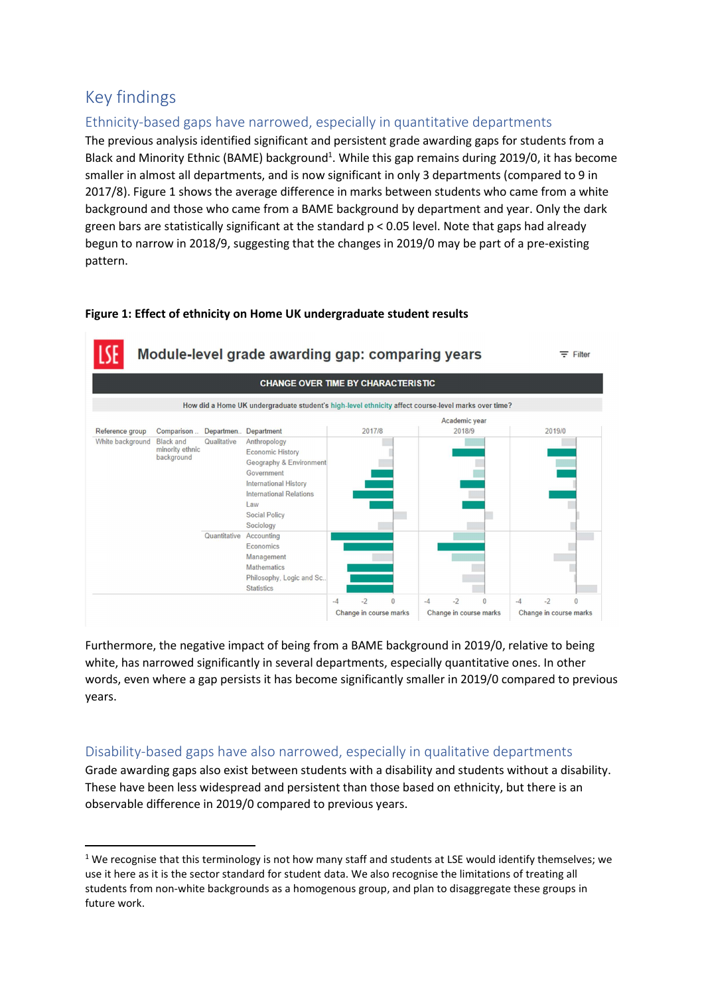# Key findings

# Ethnicity-based gaps have narrowed, especially in quantitative departments

The previous analysis identified significant and persistent grade awarding gaps for students from a Black and Minority Ethnic (BAME) background<sup>1</sup>. While this gap remains during 2019/0, it has become smaller in almost all departments, and is now significant in only 3 departments (compared to 9 in 2017/8). Figure 1 shows the average difference in marks between students who came from a white background and those who came from a BAME background by department and year. Only the dark green bars are statistically significant at the standard p < 0.05 level. Note that gaps had already begun to narrow in 2018/9, suggesting that the changes in 2019/0 may be part of a pre-existing pattern.

#### Figure 1: Effect of ethnicity on Home UK undergraduate student results



Furthermore, the negative impact of being from a BAME background in 2019/0, relative to being white, has narrowed significantly in several departments, especially quantitative ones. In other words, even where a gap persists it has become significantly smaller in 2019/0 compared to previous years.

# Disability-based gaps have also narrowed, especially in qualitative departments

Grade awarding gaps also exist between students with a disability and students without a disability. These have been less widespread and persistent than those based on ethnicity, but there is an observable difference in 2019/0 compared to previous years.

 $1$  We recognise that this terminology is not how many staff and students at LSE would identify themselves; we use it here as it is the sector standard for student data. We also recognise the limitations of treating all students from non-white backgrounds as a homogenous group, and plan to disaggregate these groups in future work.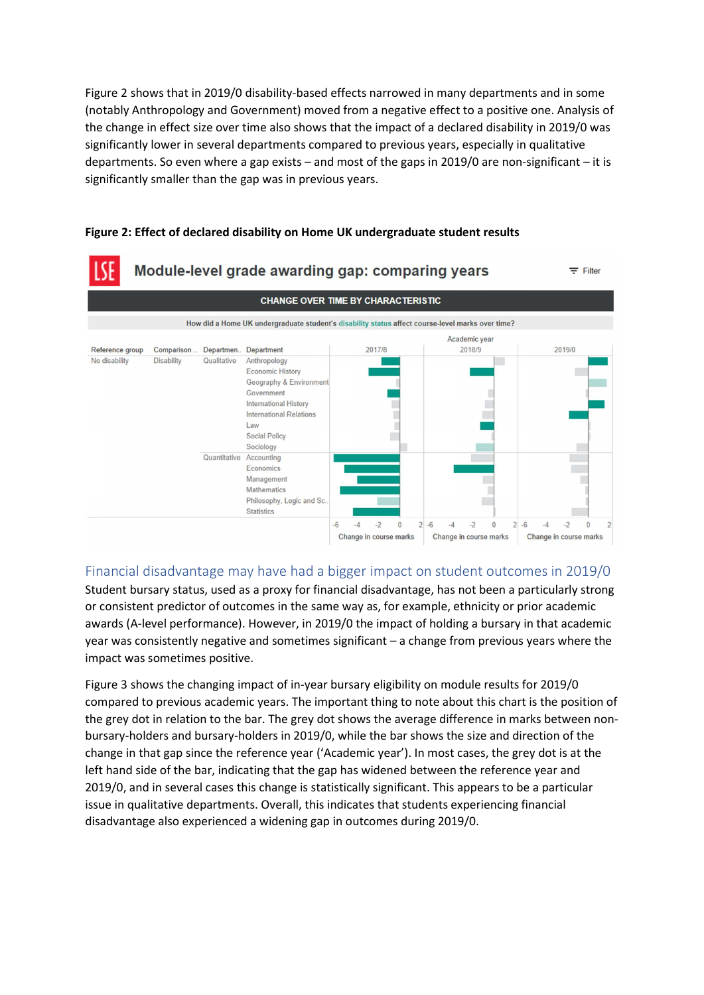Figure 2 shows that in 2019/0 disability-based effects narrowed in many departments and in some (notably Anthropology and Government) moved from a negative effect to a positive one. Analysis of the change in effect size over time also shows that the impact of a declared disability in 2019/0 was significantly lower in several departments compared to previous years, especially in qualitative departments. So even where a gap exists – and most of the gaps in 2019/0 are non-significant – it is significantly smaller than the gap was in previous years.



#### Figure 2: Effect of declared disability on Home UK undergraduate student results

Financial disadvantage may have had a bigger impact on student outcomes in 2019/0 Student bursary status, used as a proxy for financial disadvantage, has not been a particularly strong or consistent predictor of outcomes in the same way as, for example, ethnicity or prior academic awards (A-level performance). However, in 2019/0 the impact of holding a bursary in that academic year was consistently negative and sometimes significant – a change from previous years where the impact was sometimes positive.

Figure 3 shows the changing impact of in-year bursary eligibility on module results for 2019/0 compared to previous academic years. The important thing to note about this chart is the position of the grey dot in relation to the bar. The grey dot shows the average difference in marks between nonbursary-holders and bursary-holders in 2019/0, while the bar shows the size and direction of the change in that gap since the reference year ('Academic year'). In most cases, the grey dot is at the left hand side of the bar, indicating that the gap has widened between the reference year and 2019/0, and in several cases this change is statistically significant. This appears to be a particular issue in qualitative departments. Overall, this indicates that students experiencing financial disadvantage also experienced a widening gap in outcomes during 2019/0.